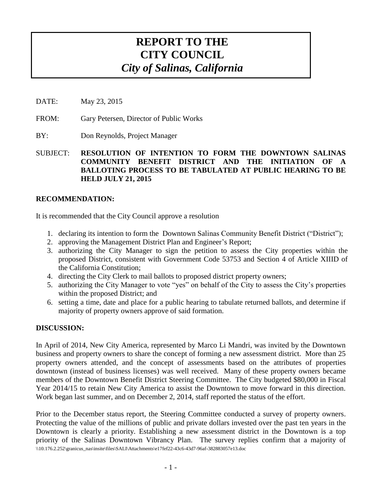# **REPORT TO THE CITY COUNCIL** *City of Salinas, California*

- DATE: May 23, 2015
- FROM: Gary Petersen, Director of Public Works

BY: Don Reynolds, Project Manager

SUBJECT: **RESOLUTION OF INTENTION TO FORM THE DOWNTOWN SALINAS COMMUNITY BENEFIT DISTRICT AND THE INITIATION OF A BALLOTING PROCESS TO BE TABULATED AT PUBLIC HEARING TO BE HELD JULY 21, 2015**

## **RECOMMENDATION:**

It is recommended that the City Council approve a resolution

- 1. declaring its intention to form the Downtown Salinas Community Benefit District ("District");
- 2. approving the Management District Plan and Engineer's Report;
- 3. authorizing the City Manager to sign the petition to assess the City properties within the proposed District, consistent with Government Code 53753 and Section 4 of Article XIIID of the California Constitution;
- 4. directing the City Clerk to mail ballots to proposed district property owners;
- 5. authorizing the City Manager to vote "yes" on behalf of the City to assess the City's properties within the proposed District; and
- 6. setting a time, date and place for a public hearing to tabulate returned ballots, and determine if majority of property owners approve of said formation.

## **DISCUSSION:**

In April of 2014, New City America, represented by Marco Li Mandri, was invited by the Downtown business and property owners to share the concept of forming a new assessment district. More than 25 property owners attended, and the concept of assessments based on the attributes of properties downtown (instead of business licenses) was well received. Many of these property owners became members of the Downtown Benefit District Steering Committee. The City budgeted \$80,000 in Fiscal Year 2014/15 to retain New City America to assist the Downtown to move forward in this direction. Work began last summer, and on December 2, 2014, staff reported the status of the effort.

\\10.176.2.252\granicus\_nas\insite\files\SALI\Attachments\e17fef22-43c6-43d7-96af-382883057e13.doc Prior to the December status report, the Steering Committee conducted a survey of property owners. Protecting the value of the millions of public and private dollars invested over the past ten years in the Downtown is clearly a priority. Establishing a new assessment district in the Downtown is a top priority of the Salinas Downtown Vibrancy Plan. The survey replies confirm that a majority of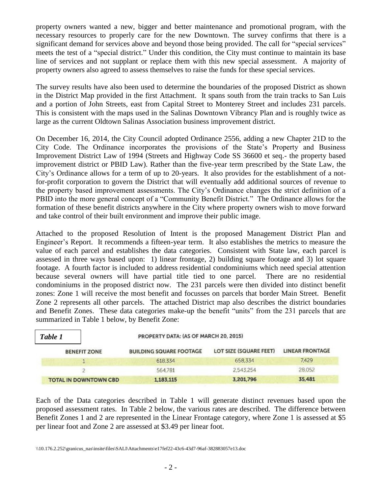property owners wanted a new, bigger and better maintenance and promotional program, with the necessary resources to properly care for the new Downtown. The survey confirms that there is a significant demand for services above and beyond those being provided. The call for "special services" meets the test of a "special district." Under this condition, the City must continue to maintain its base line of services and not supplant or replace them with this new special assessment. A majority of property owners also agreed to assess themselves to raise the funds for these special services.

The survey results have also been used to determine the boundaries of the proposed District as shown in the District Map provided in the first Attachment. It spans south from the train tracks to San Luis and a portion of John Streets, east from Capital Street to Monterey Street and includes 231 parcels. This is consistent with the maps used in the Salinas Downtown Vibrancy Plan and is roughly twice as large as the current Oldtown Salinas Association business improvement district.

On December 16, 2014, the City Council adopted Ordinance 2556, adding a new Chapter 21D to the City Code. The Ordinance incorporates the provisions of the State's Property and Business Improvement District Law of 1994 (Streets and Highway Code SS 36600 et seq.- the property based improvement district or PBID Law). Rather than the five-year term prescribed by the State Law, the City's Ordinance allows for a term of up to 20-years. It also provides for the establishment of a notfor-profit corporation to govern the District that will eventually add additional sources of revenue to the property based improvement assessments. The City's Ordinance changes the strict definition of a PBID into the more general concept of a "Community Benefit District." The Ordinance allows for the formation of these benefit districts anywhere in the City where property owners wish to move forward and take control of their built environment and improve their public image.

Attached to the proposed Resolution of Intent is the proposed Management District Plan and Engineer's Report. It recommends a fifteen-year term. It also establishes the metrics to measure the value of each parcel and establishes the data categories. Consistent with State law, each parcel is assessed in three ways based upon: 1) linear frontage, 2) building square footage and 3) lot square footage. A fourth factor is included to address residential condominiums which need special attention because several owners will have partial title tied to one parcel. There are no residential condominiums in the proposed district now. The 231 parcels were then divided into distinct benefit zones: Zone 1 will receive the most benefit and focusses on parcels that border Main Street. Benefit Zone 2 represents all other parcels. The attached District map also describes the district boundaries and Benefit Zones. These data categories make-up the benefit "units" from the 231 parcels that are summarized in Table 1 below, by Benefit Zone:

| Table 1 |                              | PROPERTY DATA: (AS OF MARCH 20, 2015) |                        |                        |  |  |  |
|---------|------------------------------|---------------------------------------|------------------------|------------------------|--|--|--|
|         | <b>BENEFIT ZONE</b>          | <b>BUILDING SQUARE FOOTAGE</b>        | LOT SIZE (SQUARE FEET) | <b>LINEAR FRONTAGE</b> |  |  |  |
|         |                              | 618.334                               | 658,334                | 7,429                  |  |  |  |
|         |                              | 564.781                               | 2,543,254              | 28,052                 |  |  |  |
|         | <b>TOTAL IN DOWNTOWN CBD</b> | 1.183.115                             | 3,201,796              | 35,481                 |  |  |  |

Each of the Data categories described in Table 1 will generate distinct revenues based upon the proposed assessment rates. In Table 2 below, the various rates are described. The difference between Benefit Zones 1 and 2 are represented in the Linear Frontage category, where Zone 1 is assessed at \$5 per linear foot and Zone 2 are assessed at \$3.49 per linear foot.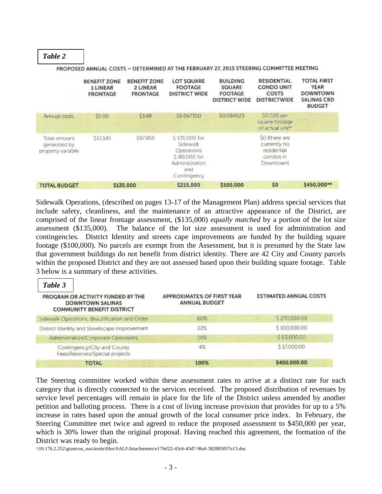*Table 2*

|                                                   | <b>BENEFIT ZONE</b><br>1 LINEAR<br><b>FRONTAGE</b> | <b>BENEFIT ZONE</b><br>2 LINEAR<br><b>FRONTAGE</b> | <b>LOT SQUARE</b><br><b>FOOTAGE</b><br><b>DISTRICT WIDE</b>                                     | <b>BUILDING</b><br>SQUARE<br><b>FOOTAGE</b><br><b>DISTRICT WIDE</b> | <b>RESIDENTIAL</b><br><b>CONDO UNIT</b><br>COSTS<br><b>DISTRICTWIDE</b> | <b>TOTAL FIRST</b><br><b>YEAR</b><br><b>DOWNTOWN</b><br><b>SALINAS CBD</b><br><b>BUDGET</b> |
|---------------------------------------------------|----------------------------------------------------|----------------------------------------------------|-------------------------------------------------------------------------------------------------|---------------------------------------------------------------------|-------------------------------------------------------------------------|---------------------------------------------------------------------------------------------|
| Annual costs                                      | \$5.00                                             | \$3.49                                             | \$0.067150                                                                                      | \$0.084523                                                          | \$0.020 per<br>square footage<br>of actual unit*                        |                                                                                             |
| Total amount<br>generated by<br>property variable | \$37,145                                           | \$97.855                                           | \$135,000 for<br>Sidewalk<br>Operations<br>\$80,000 for<br>Administration<br>and<br>Contingency |                                                                     | \$0 (there are<br>currently no<br>residential<br>condos in<br>Downtown) |                                                                                             |
| <b>TOTAL BUDGET</b>                               |                                                    | \$135,000                                          | \$215,000                                                                                       | \$100,000                                                           | \$0                                                                     | \$450,000**                                                                                 |

PROPOSED ANNUAL COSTS - DETERMINED AT THE FEBRUARY 27, 2015 STEERING COMMITTEE MEETING

Sidewalk Operations, (described on pages 13-17 of the Management Plan) address special services that include safety, cleanliness, and the maintenance of an attractive appearance of the District, are comprised of the linear frontage assessment, (\$135,000) *equally matched* by a portion of the lot size assessment (\$135,000). The balance of the lot size assessment is used for administration and contingencies. District Identity and streets cape improvements are funded by the building square footage (\$100,000). No parcels are exempt from the Assessment, but it is presumed by the State law that government buildings do not benefit from district identity. There are 42 City and County parcels within the proposed District and they are not assessed based upon their building square footage. Table 3 below is a summary of these activities.

| Table 3<br>PROGRAM OR ACTIVITY FUNDED BY THE<br><b>DOWNTOWN SALINAS</b><br><b>COMMUNITY BENEFIT DISTRICT</b> | <b>APPROXIMATE% OF FIRST YEAR</b><br><b>ANNUAL BUDGET</b> | <b>ESTIMATED ANNUAL COSTS</b> |
|--------------------------------------------------------------------------------------------------------------|-----------------------------------------------------------|-------------------------------|
| Sidewalk Operations, Beautification and Order                                                                | 60%                                                       | \$270,000.00                  |
| District Identity and Streetscape Improvement                                                                | 22%                                                       | \$100,000,00                  |
| Administration/Corporate Operations                                                                          | 14%                                                       | \$63,000.00                   |
| Contingency/City and County<br>Fees/Reserves/Special projects                                                | 4%                                                        | \$17,000.00                   |
| <b>TOTAL</b>                                                                                                 | 100%                                                      | \$450,000.00                  |

The Steering committee worked within these assessment rates to arrive at a distinct rate for each category that is directly connected to the services received. The proposed distribution of revenues by service level percentages will remain in place for the life of the District unless amended by another petition and balloting process. There is a cost of living increase provision that provides for up to a 5% increase in rates based upon the annual growth of the local consumer price index. In February, the Steering Committee met twice and agreed to reduce the proposed assessment to \$450,000 per year, which is 30% lower than the original proposal. Having reached this agreement, the formation of the District was ready to begin.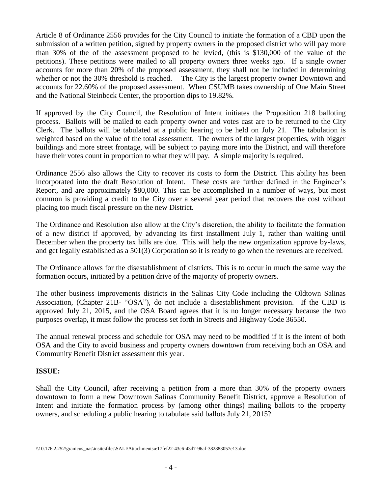Article 8 of Ordinance 2556 provides for the City Council to initiate the formation of a CBD upon the submission of a written petition, signed by property owners in the proposed district who will pay more than 30% of the of the assessment proposed to be levied, (this is \$130,000 of the value of the petitions). These petitions were mailed to all property owners three weeks ago. If a single owner accounts for more than 20% of the proposed assessment, they shall not be included in determining whether or not the 30% threshold is reached. The City is the largest property owner Downtown and accounts for 22.60% of the proposed assessment. When CSUMB takes ownership of One Main Street and the National Steinbeck Center, the proportion dips to 19.82%.

If approved by the City Council, the Resolution of Intent initiates the Proposition 218 balloting process. Ballots will be mailed to each property owner and votes cast are to be returned to the City Clerk. The ballots will be tabulated at a public hearing to be held on July 21. The tabulation is weighted based on the value of the total assessment. The owners of the largest properties, with bigger buildings and more street frontage, will be subject to paying more into the District, and will therefore have their votes count in proportion to what they will pay. A simple majority is required.

Ordinance 2556 also allows the City to recover its costs to form the District. This ability has been incorporated into the draft Resolution of Intent. These costs are further defined in the Engineer's Report, and are approximately \$80,000. This can be accomplished in a number of ways, but most common is providing a credit to the City over a several year period that recovers the cost without placing too much fiscal pressure on the new District.

The Ordinance and Resolution also allow at the City's discretion, the ability to facilitate the formation of a new district if approved, by advancing its first installment July 1, rather than waiting until December when the property tax bills are due. This will help the new organization approve by-laws, and get legally established as a 501(3) Corporation so it is ready to go when the revenues are received.

The Ordinance allows for the disestablishment of districts. This is to occur in much the same way the formation occurs, initiated by a petition drive of the majority of property owners.

The other business improvements districts in the Salinas City Code including the Oldtown Salinas Association, (Chapter 21B- "OSA"), do not include a disestablishment provision. If the CBD is approved July 21, 2015, and the OSA Board agrees that it is no longer necessary because the two purposes overlap, it must follow the process set forth in Streets and Highway Code 36550.

The annual renewal process and schedule for OSA may need to be modified if it is the intent of both OSA and the City to avoid business and property owners downtown from receiving both an OSA and Community Benefit District assessment this year.

# **ISSUE:**

Shall the City Council, after receiving a petition from a more than 30% of the property owners downtown to form a new Downtown Salinas Community Benefit District, approve a Resolution of Intent and initiate the formation process by (among other things) mailing ballots to the property owners, and scheduling a public hearing to tabulate said ballots July 21, 2015?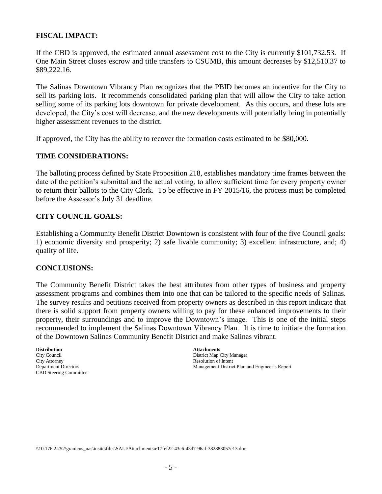## **FISCAL IMPACT:**

If the CBD is approved, the estimated annual assessment cost to the City is currently \$101,732.53. If One Main Street closes escrow and title transfers to CSUMB, this amount decreases by \$12,510.37 to \$89,222.16.

The Salinas Downtown Vibrancy Plan recognizes that the PBID becomes an incentive for the City to sell its parking lots. It recommends consolidated parking plan that will allow the City to take action selling some of its parking lots downtown for private development. As this occurs, and these lots are developed, the City's cost will decrease, and the new developments will potentially bring in potentially higher assessment revenues to the district.

If approved, the City has the ability to recover the formation costs estimated to be \$80,000.

#### **TIME CONSIDERATIONS:**

The balloting process defined by State Proposition 218, establishes mandatory time frames between the date of the petition's submittal and the actual voting, to allow sufficient time for every property owner to return their ballots to the City Clerk. To be effective in FY 2015/16, the process must be completed before the Assessor's July 31 deadline.

### **CITY COUNCIL GOALS:**

Establishing a Community Benefit District Downtown is consistent with four of the five Council goals: 1) economic diversity and prosperity; 2) safe livable community; 3) excellent infrastructure, and; 4) quality of life.

### **CONCLUSIONS:**

The Community Benefit District takes the best attributes from other types of business and property assessment programs and combines them into one that can be tailored to the specific needs of Salinas. The survey results and petitions received from property owners as described in this report indicate that there is solid support from property owners willing to pay for these enhanced improvements to their property, their surroundings and to improve the Downtown's image. This is one of the initial steps recommended to implement the Salinas Downtown Vibrancy Plan. It is time to initiate the formation of the Downtown Salinas Community Benefit District and make Salinas vibrant.

**Distribution Attachments**  City Attorney Resolution of Intent<br>
Department Directors<br>
Management District CBD Steering Committee

City Council City Council City Attorney<br>
City Attorney<br>
Resolution of Intent Management District Plan and Engineer's Report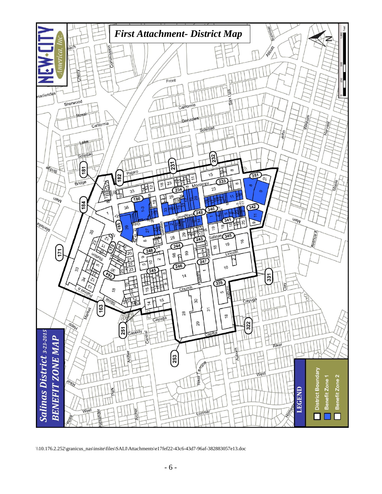

<sup>\\10.176.2.252\</sup>granicus\_nas\insite\files\SALI\Attachments\e17fef22-43c6-43d7-96af-382883057e13.doc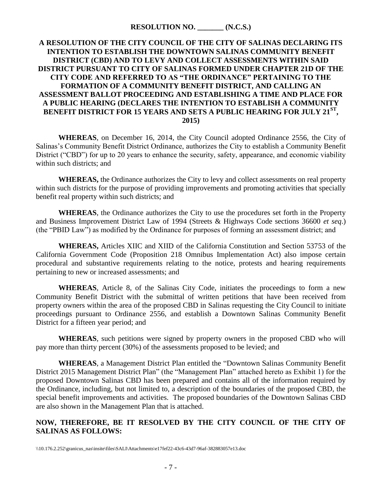## **A RESOLUTION OF THE CITY COUNCIL OF THE CITY OF SALINAS DECLARING ITS INTENTION TO ESTABLISH THE DOWNTOWN SALINAS COMMUNITY BENEFIT DISTRICT (CBD) AND TO LEVY AND COLLECT ASSESSMENTS WITHIN SAID DISTRICT PURSUANT TO CITY OF SALINAS FORMED UNDER CHAPTER 21D OF THE CITY CODE AND REFERRED TO AS "THE ORDINANCE" PERTAINING TO THE FORMATION OF A COMMUNITY BENEFIT DISTRICT, AND CALLING AN ASSESSMENT BALLOT PROCEEDING AND ESTABLISHING A TIME AND PLACE FOR A PUBLIC HEARING (DECLARES THE INTENTION TO ESTABLISH A COMMUNITY BENEFIT DISTRICT FOR 15 YEARS AND SETS A PUBLIC HEARING FOR JULY 21ST , 2015)**

**WHEREAS**, on December 16, 2014, the City Council adopted Ordinance 2556, the City of Salinas's Community Benefit District Ordinance, authorizes the City to establish a Community Benefit District ("CBD") for up to 20 years to enhance the security, safety, appearance, and economic viability within such districts; and

**WHEREAS,** the Ordinance authorizes the City to levy and collect assessments on real property within such districts for the purpose of providing improvements and promoting activities that specially benefit real property within such districts; and

**WHEREAS**, the Ordinance authorizes the City to use the procedures set forth in the Property and Business Improvement District Law of 1994 (Streets & Highways Code sections 36600 *et seq*.) (the "PBID Law") as modified by the Ordinance for purposes of forming an assessment district; and

**WHEREAS,** Articles XIIC and XIID of the California Constitution and Section 53753 of the California Government Code (Proposition 218 Omnibus Implementation Act) also impose certain procedural and substantive requirements relating to the notice, protests and hearing requirements pertaining to new or increased assessments; and

**WHEREAS**, Article 8, of the Salinas City Code, initiates the proceedings to form a new Community Benefit District with the submittal of written petitions that have been received from property owners within the area of the proposed CBD in Salinas requesting the City Council to initiate proceedings pursuant to Ordinance 2556, and establish a Downtown Salinas Community Benefit District for a fifteen year period; and

**WHEREAS**, such petitions were signed by property owners in the proposed CBD who will pay more than thirty percent (30%) of the assessments proposed to be levied; and

**WHEREAS**, a Management District Plan entitled the "Downtown Salinas Community Benefit District 2015 Management District Plan" (the "Management Plan" attached hereto as Exhibit 1) for the proposed Downtown Salinas CBD has been prepared and contains all of the information required by the Ordinance, including, but not limited to, a description of the boundaries of the proposed CBD, the special benefit improvements and activities. The proposed boundaries of the Downtown Salinas CBD are also shown in the Management Plan that is attached.

# **NOW, THEREFORE, BE IT RESOLVED BY THE CITY COUNCIL OF THE CITY OF SALINAS AS FOLLOWS:**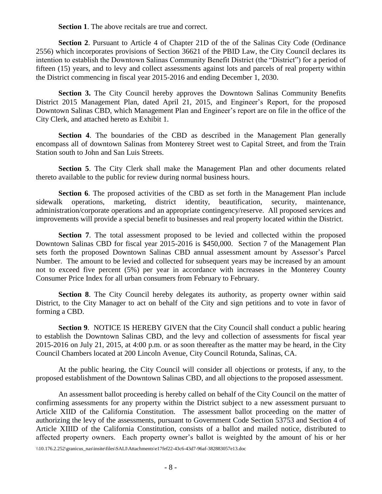**Section 1**. The above recitals are true and correct.

**Section 2.** Pursuant to Article 4 of Chapter 21D of the of the Salinas City Code (Ordinance 2556) which incorporates provisions of Section 36621 of the PBID Law, the City Council declares its intention to establish the Downtown Salinas Community Benefit District (the "District") for a period of fifteen (15) years, and to levy and collect assessments against lots and parcels of real property within the District commencing in fiscal year 2015-2016 and ending December 1, 2030.

**Section 3.** The City Council hereby approves the Downtown Salinas Community Benefits District 2015 Management Plan, dated April 21, 2015, and Engineer's Report, for the proposed Downtown Salinas CBD, which Management Plan and Engineer's report are on file in the office of the City Clerk, and attached hereto as Exhibit 1.

**Section 4**. The boundaries of the CBD as described in the Management Plan generally encompass all of downtown Salinas from Monterey Street west to Capital Street, and from the Train Station south to John and San Luis Streets.

**Section 5**. The City Clerk shall make the Management Plan and other documents related thereto available to the public for review during normal business hours.

Section 6. The proposed activities of the CBD as set forth in the Management Plan include sidewalk operations, marketing, district identity, beautification, security, maintenance, administration/corporate operations and an appropriate contingency/reserve. All proposed services and improvements will provide a special benefit to businesses and real property located within the District.

**Section 7**. The total assessment proposed to be levied and collected within the proposed Downtown Salinas CBD for fiscal year 2015-2016 is \$450,000. Section 7 of the Management Plan sets forth the proposed Downtown Salinas CBD annual assessment amount by Assessor's Parcel Number. The amount to be levied and collected for subsequent years may be increased by an amount not to exceed five percent (5%) per year in accordance with increases in the Monterey County Consumer Price Index for all urban consumers from February to February.

**Section 8**. The City Council hereby delegates its authority, as property owner within said District, to the City Manager to act on behalf of the City and sign petitions and to vote in favor of forming a CBD.

**Section 9**. NOTICE IS HEREBY GIVEN that the City Council shall conduct a public hearing to establish the Downtown Salinas CBD, and the levy and collection of assessments for fiscal year 2015-2016 on July 21, 2015, at 4:00 p.m. or as soon thereafter as the matter may be heard, in the City Council Chambers located at 200 Lincoln Avenue, City Council Rotunda, Salinas, CA.

At the public hearing, the City Council will consider all objections or protests, if any, to the proposed establishment of the Downtown Salinas CBD, and all objections to the proposed assessment.

An assessment ballot proceeding is hereby called on behalf of the City Council on the matter of confirming assessments for any property within the District subject to a new assessment pursuant to Article XIID of the California Constitution. The assessment ballot proceeding on the matter of authorizing the levy of the assessments, pursuant to Government Code Section 53753 and Section 4 of Article XIIID of the California Constitution, consists of a ballot and mailed notice, distributed to affected property owners. Each property owner's ballot is weighted by the amount of his or her